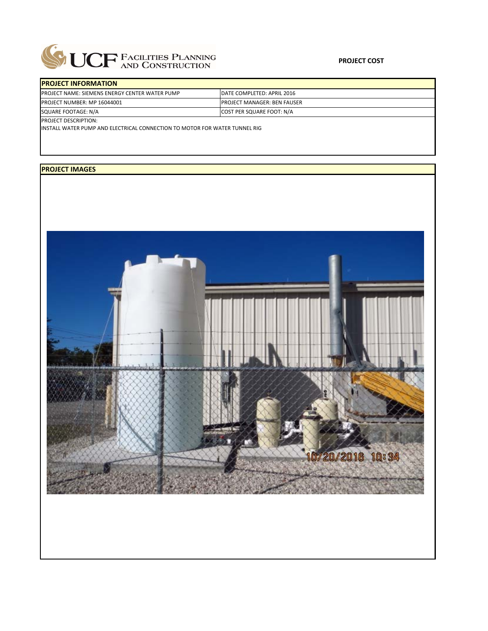

| <b>IPROJECT INFORMATION</b>                           |                                    |
|-------------------------------------------------------|------------------------------------|
| <b>PROJECT NAME: SIEMENS ENERGY CENTER WATER PUMP</b> | <b>IDATE COMPLETED: APRIL 2016</b> |
| <b>IPROJECT NUMBER: MP 16044001</b>                   | <b>PROJECT MANAGER: BEN FAUSER</b> |
| SQUARE FOOTAGE: N/A                                   | <b>COST PER SQUARE FOOT: N/A</b>   |
| <b>PROJECT DESCRIPTION:</b>                           |                                    |

INSTALL WATER PUMP AND ELECTRICAL CONNECTION TO MOTOR FOR WATER TUNNEL RIG

## **PROJECT IMAGES**